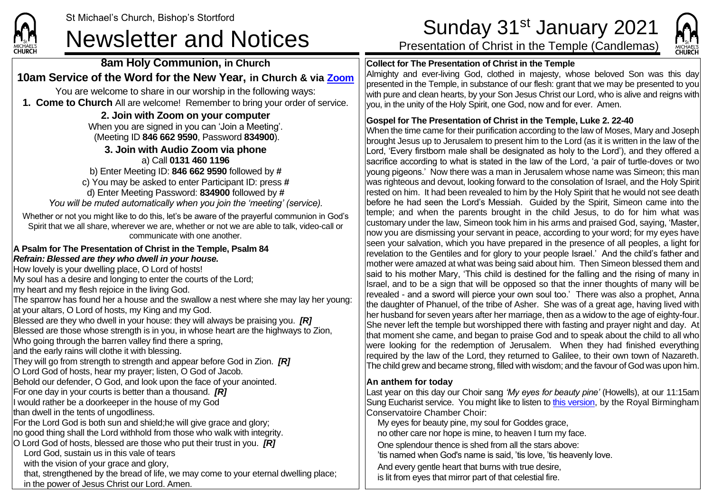

# St Michael's Church, Bishop's Stortford<br>
Sunday 31<sup>st</sup> January 2021<br>
Presentation of Christ in the Temple (Candlemas)

**8am Holy Communion, in Church 10am Service of the Word for the New Year, in Church & via [Zoom](https://zoom.us/)** You are welcome to share in our worship in the following ways: **1. Come to Church** All are welcome! Remember to bring your order of service. **2. Join with Zoom on your computer** When you are signed in you can 'Join a Meeting'. (Meeting ID **846 662 9590**, Password **834900**). **3. Join with Audio Zoom via phone**  a) Call **0131 460 1196** b) Enter Meeting ID: **846 662 9590** followed by **#** c) You may be asked to enter Participant ID: press **#** d) Enter Meeting Password: **834900** followed by **#** *You will be muted automatically when you join the 'meeting' (service).* Whether or not you might like to do this, let's be aware of the prayerful communion in God's Spirit that we all share, wherever we are, whether or not we are able to talk, video-call or communicate with one another. **A Psalm for The Presentation of Christ in the Temple, Psalm 84** *Refrain: Blessed are they who dwell in your house.* How lovely is your dwelling place, O Lord of hosts! My soul has a desire and longing to enter the courts of the Lord; my heart and my flesh rejoice in the living God. The sparrow has found her a house and the swallow a nest where she may lay her young: at your altars, O Lord of hosts, my King and my God. Blessed are they who dwell in your house: they will always be praising you. *[R]* Blessed are those whose strength is in you, in whose heart are the highways to Zion, Who going through the barren valley find there a spring, and the early rains will clothe it with blessing. They will go from strength to strength and appear before God in Zion. *[R]* O Lord God of hosts, hear my prayer; listen, O God of Jacob. Behold our defender, O God, and look upon the face of your anointed. For one day in your courts is better than a thousand. *[R]* I would rather be a doorkeeper in the house of my God than dwell in the tents of ungodliness. For the Lord God is both sun and shield;he will give grace and glory; no good thing shall the Lord withhold from those who walk with integrity. O Lord God of hosts, blessed are those who put their trust in you. *[R]* Lord God, sustain us in this vale of tears with the vision of your grace and glory, that, strengthened by the bread of life, we may come to your eternal dwelling place; in the power of Jesus Christ our Lord. Amen.

## **Collect for The Presentation of Christ in the Temple**

Almighty and ever-living God, clothed in majesty, whose beloved Son was this day presented in the Temple, in substance of our flesh: grant that we may be presented to you with pure and clean hearts, by your Son Jesus Christ our Lord, who is alive and reigns with you, in the unity of the Holy Spirit, one God, now and for ever. Amen.

### **Gospel for The Presentation of Christ in the Temple, Luke 2. 22-40**

When the time came for their purification according to the law of Moses, Mary and Joseph brought Jesus up to Jerusalem to present him to the Lord (as it is written in the law of the Lord, 'Every firstborn male shall be designated as holy to the Lord'), and they offered a sacrifice according to what is stated in the law of the Lord, 'a pair of turtle-doves or two young pigeons.' Now there was a man in Jerusalem whose name was Simeon; this man was righteous and devout, looking forward to the consolation of Israel, and the Holy Spirit rested on him. It had been revealed to him by the Holy Spirit that he would not see death before he had seen the Lord's Messiah. Guided by the Spirit, Simeon came into the temple; and when the parents brought in the child Jesus, to do for him what was customary under the law, Simeon took him in his arms and praised God, saying, 'Master, now you are dismissing your servant in peace, according to your word; for my eyes have seen your salvation, which you have prepared in the presence of all peoples, a light for revelation to the Gentiles and for glory to your people Israel.' And the child's father and mother were amazed at what was being said about him. Then Simeon blessed them and said to his mother Mary, 'This child is destined for the falling and the rising of many in Israel, and to be a sign that will be opposed so that the inner thoughts of many will be revealed - and a sword will pierce your own soul too.' There was also a prophet, Anna the daughter of Phanuel, of the tribe of Asher. She was of a great age, having lived with her husband for seven years after her marriage, then as a widow to the age of eighty-four. She never left the temple but worshipped there with fasting and prayer night and day. At that moment she came, and began to praise God and to speak about the child to all who were looking for the redemption of Jerusalem. When they had finished everything required by the law of the Lord, they returned to Galilee, to their own town of Nazareth. The child grew and became strong, filled with wisdom; and the favour of God was upon him.

### **An anthem for today**

Last year on this day our Choir sang *'My eyes for beauty pine'* (Howells), at our 11:15am Sung Eucharist service. You might like to listen t[o this version,](https://www.youtube.com/watch?v=KxN07EKz1-s) by the Royal Birmingham Conservatoire Chamber Choir:

My eyes for beauty pine, my soul for Goddes grace,

no other care nor hope is mine, to heaven I turn my face.

One splendour thence is shed from all the stars above:

'tis named when God's name is said, 'tis love, 'tis heavenly love.

And every gentle heart that burns with true desire, is lit from eyes that mirror part of that celestial fire.